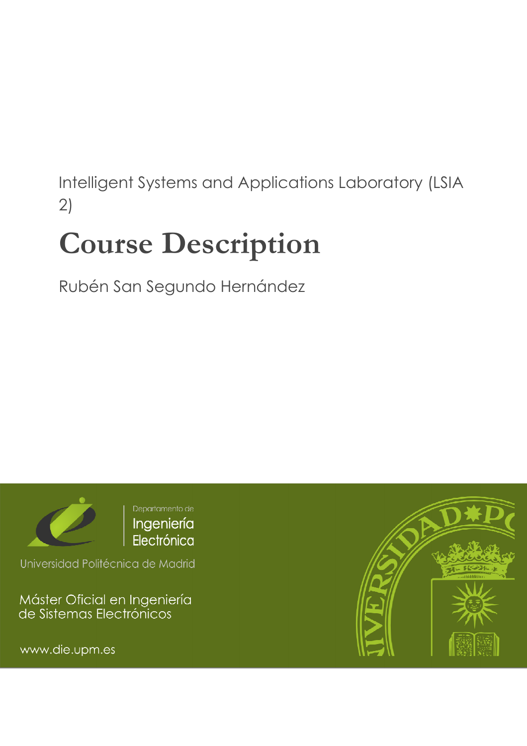# Intelligent Systems and Applications Laboratory (LSIA 2)

# Course Description

Rubén San Segundo Hernández



Universidad Politécnica de Madrid

Máster Oficial en Ingeniería<br>de Sistemas Electrónicos

www.die.upm.es

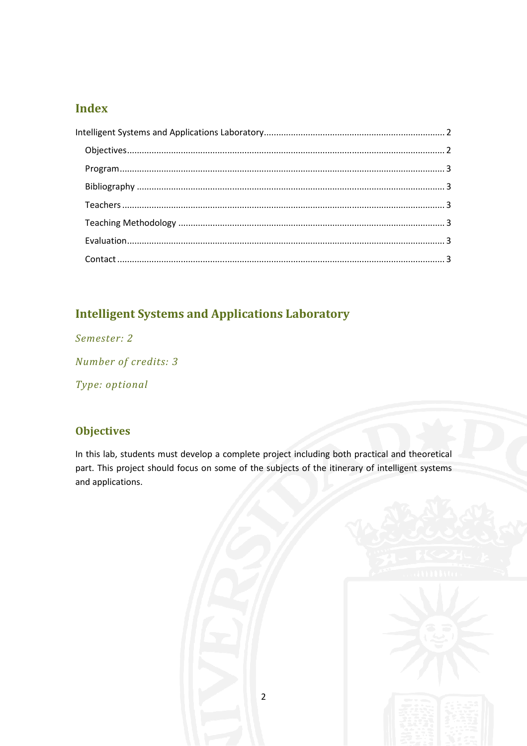### **Index**

# **Intelligent Systems and Applications Laboratory**

Semester: 2

Number of credits: 3

Type: optional

## **Objectives**

In this lab, students must develop a complete project including both practical and theoretical part. This project should focus on some of the subjects of the itinerary of intelligent systems and applications.